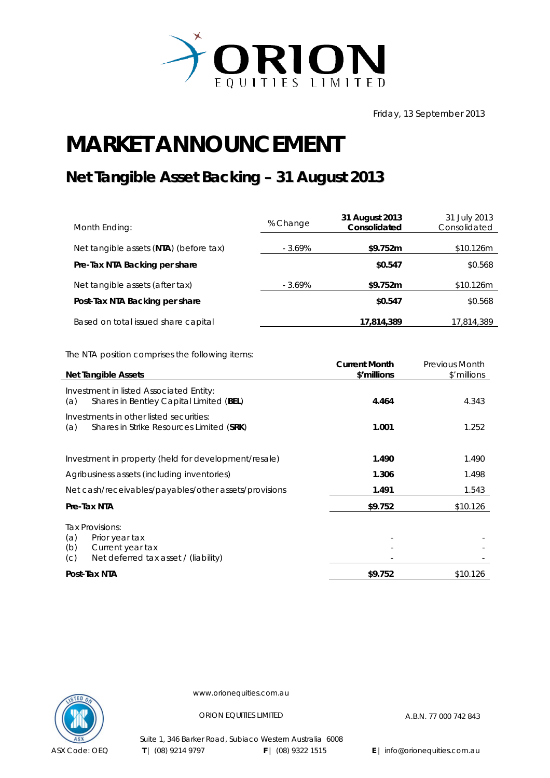

Friday, 13 September 2013

## **MARKET ANNOUNCEMENT**

## **Net Tangible Asset Backing – 31 August 2013**

| Month Ending:                          | % Change | 31 August 2013<br>Consolidated | 31 July 2013<br>Consolidated |
|----------------------------------------|----------|--------------------------------|------------------------------|
| Net tangible assets (NTA) (before tax) | - 3.69%  | \$9.752m                       | \$10.126m                    |
| Pre-Tax NTA Backing per share          |          | \$0.547                        | \$0.568                      |
| Net tangible assets (after tax)        | - 3.69%  | \$9.752m                       | \$10.126m                    |
| Post-Tax NTA Backing per share         |          | \$0.547                        | \$0.568                      |
| Based on total issued share capital    |          | 17,814,389                     | 17,814,389                   |

The NTA position comprises the following items:

| <b>Net Tangible Assets</b>                                                                                         | <b>Current Month</b><br>\$'millions | <b>Previous Month</b><br>\$'millions |
|--------------------------------------------------------------------------------------------------------------------|-------------------------------------|--------------------------------------|
| Investment in listed Associated Entity:<br>Shares in Bentley Capital Limited (BEL)<br>(a)                          | 4.464                               | 4.343                                |
| Investments in other listed securities:<br>Shares in Strike Resources Limited (SRK)<br>(a)                         | 1.001                               | 1.252                                |
| Investment in property (held for development/resale)                                                               | 1.490                               | 1.490                                |
| Agribusiness assets (including inventories)                                                                        | 1.306                               | 1.498                                |
| Net cash/receivables/payables/other assets/provisions                                                              | 1.491                               | 1.543                                |
| Pre-Tax NTA                                                                                                        | \$9.752                             | \$10.126                             |
| Tax Provisions:<br>(a)<br>Prior year tax<br>(b)<br>Current year tax<br>Net deferred tax asset / (liability)<br>(C) |                                     |                                      |
| Post-Tax NTA                                                                                                       | \$9.752                             | \$10.126                             |



www.orionequities.com.au

ORION EQUITIES LIMITED A.B.N. 77 000 742 843

Suite 1, 346 Barker Road, Subiaco Western Australia 6008  **T** | (08) 9214 9797 **F** | (08) 9322 1515 **E** | info@orionequities.com.au